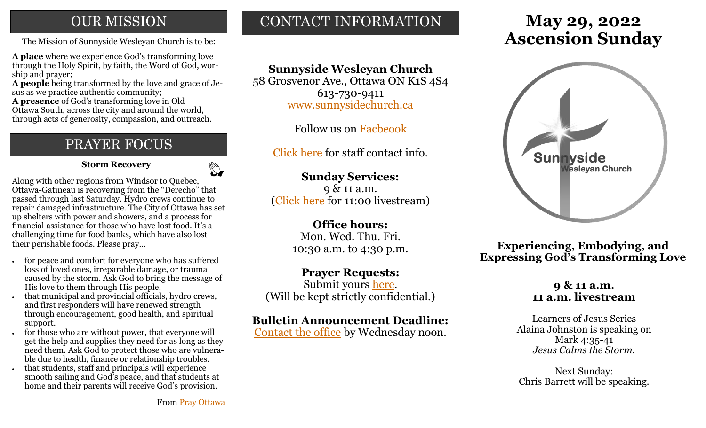# **OUR MISSION**

**A place** where we experience God's transforming love through the Holy Spirit, by faith, the Word of God, worship and prayer;

**A people** being transformed by the love and grace of Jesus as we practice authentic community;

**A presence** of God's transforming love in Old Ottawa South, across the city and around the world, through acts of generosity, compassion, and outreach.

# PRAYER FOCUS

 **Storm Recovery**

 $\mathbb{Z}$ 

Along with other regions from Windsor to Quebec, Ottawa-Gatineau is recovering from the "Derecho" that passed through last Saturday. Hydro crews continue to repair damaged infrastructure. The City of Ottawa has set up shelters with power and showers, and a process for financial assistance for those who have lost food. It's a challenging time for food banks, which have also lost their perishable foods. Please pray…

- for peace and comfort for everyone who has suffered loss of loved ones, irreparable damage, or trauma caused by the storm. Ask God to bring the message of His love to them through His people.
- that municipal and provincial officials, hydro crews, and first responders will have renewed strength through encouragement, good health, and spiritual support.
- for those who are without power, that everyone will get the help and supplies they need for as long as they need them. Ask God to protect those who are vulnerable due to health, finance or relationship troubles.
- that students, staff and principals will experience smooth sailing and God's peace, and that students at home and their parents will receive God's provision.

# CONTACT INFORMATION

# **Sunnyside Wesleyan Church**

58 Grosvenor Ave., Ottawa ON K1S 4S4 613-730-9411 [www.sunnysidechurch.ca](http://www.sunnysidechurch.ca)

Follow us on [Facbeook](http://www.facebook.com/sunnysidewesleyanchurch)

[Click here](http://www.sunnysidechurch.ca/about-sunnyside/staff/) for staff contact info.

### **Sunday Services:**

9 & 11 a.m. [\(Click here](https://youtube.com/channel/UCYfl9Qy37Az7fqqFQpDEwjg) for 11:00 livestream)

### **Office hours:**

Mon. Wed. Thu. Fri. 10:30 a.m. to 4:30 p.m.

### **Prayer Requests:**

Submit yours [here.](mailto:prayer@sunnysidechurch.ca) (Will be kept strictly confidential.)

### **Bulletin Announcement Deadline:**

[Contact the office](mailto:office@sunnysidechurch.ca) by Wednesday noon.

# **May 29, 2022** The Mission of Sunnyside Wesleyan Church is to be: **Ascension Sunday**



**Experiencing, Embodying, and Expressing God's Transforming Love**

### **9 & 11 a.m. 11 a.m. livestream**

Learners of Jesus Series Alaina Johnston is speaking on Mark 4:35-41 *Jesus Calms the Storm.*

Next Sunday: Chris Barrett will be speaking.